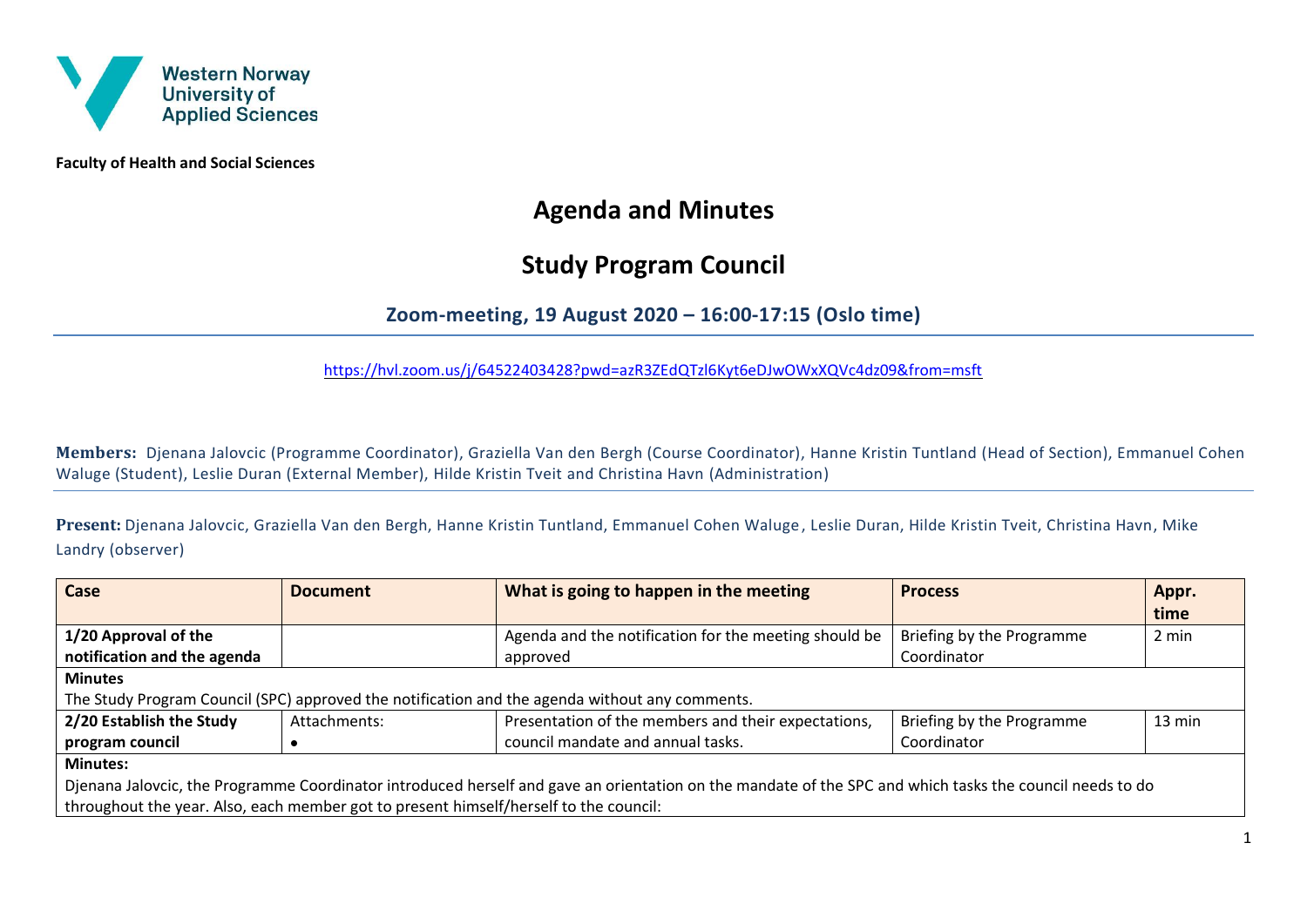

**Faculty of Health and Social Sciences**

# **Agenda and Minutes**

## **Study Program Council**

### **Zoom-meeting, 19 August 2020 – 16:00-17:15 (Oslo time)**

<https://hvl.zoom.us/j/64522403428?pwd=azR3ZEdQTzl6Kyt6eDJwOWxXQVc4dz09&from=msft>

**Members:** Djenana Jalovcic (Programme Coordinator), Graziella Van den Bergh (Course Coordinator), Hanne Kristin Tuntland (Head of Section), Emmanuel Cohen Waluge (Student), Leslie Duran (External Member), Hilde Kristin Tveit and Christina Havn (Administration)

**Present:** Djenana Jalovcic, Graziella Van den Bergh, Hanne Kristin Tuntland, Emmanuel Cohen Waluge , Leslie Duran, Hilde Kristin Tveit, Christina Havn, Mike Landry (observer)

| Case                                                                                                                                                     | <b>Document</b> | What is going to happen in the meeting                | <b>Process</b>            | Appr.            |  |
|----------------------------------------------------------------------------------------------------------------------------------------------------------|-----------------|-------------------------------------------------------|---------------------------|------------------|--|
|                                                                                                                                                          |                 |                                                       |                           | time             |  |
| 1/20 Approval of the                                                                                                                                     |                 | Agenda and the notification for the meeting should be | Briefing by the Programme | 2 min            |  |
| notification and the agenda                                                                                                                              |                 | approved                                              | Coordinator               |                  |  |
| <b>Minutes</b>                                                                                                                                           |                 |                                                       |                           |                  |  |
| The Study Program Council (SPC) approved the notification and the agenda without any comments.                                                           |                 |                                                       |                           |                  |  |
| 2/20 Establish the Study                                                                                                                                 | Attachments:    | Presentation of the members and their expectations,   | Briefing by the Programme | $13 \text{ min}$ |  |
| program council                                                                                                                                          |                 | council mandate and annual tasks.                     | Coordinator               |                  |  |
| <b>Minutes:</b>                                                                                                                                          |                 |                                                       |                           |                  |  |
| Djenana Jalovcic, the Programme Coordinator introduced herself and gave an orientation on the mandate of the SPC and which tasks the council needs to do |                 |                                                       |                           |                  |  |
| throughout the year. Also, each member got to present himself/herself to the council:                                                                    |                 |                                                       |                           |                  |  |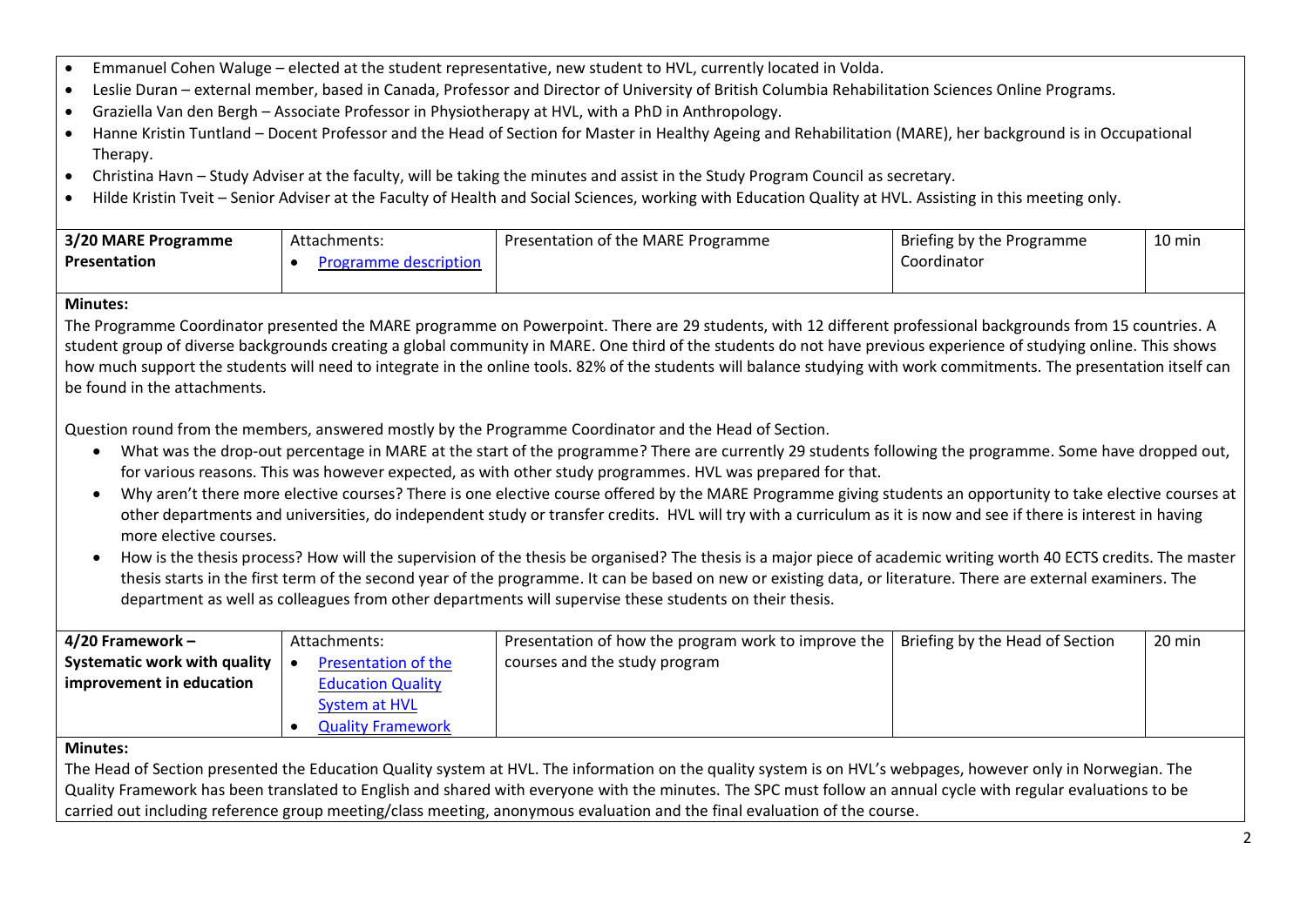- Emmanuel Cohen Waluge elected at the student representative, new student to HVL, currently located in Volda.
- Leslie Duran external member, based in Canada, Professor and Director of University of British Columbia Rehabilitation Sciences Online Programs.
- Graziella Van den Bergh Associate Professor in Physiotherapy at HVL, with a PhD in Anthropology.
- Hanne Kristin Tuntland Docent Professor and the Head of Section for Master in Healthy Ageing and Rehabilitation (MARE), her background is in Occupational Therapy.
- Christina Havn Study Adviser at the faculty, will be taking the minutes and assist in the Study Program Council as secretary.
- Hilde Kristin Tveit Senior Adviser at the Faculty of Health and Social Sciences, working with Education Quality at HVL. Assisting in this meeting only.

| 3/20 MARE Programme | Attachments:          | Presentation of the MARE Programme | Briefing by the Programme | 10 min |
|---------------------|-----------------------|------------------------------------|---------------------------|--------|
| <b>Presentation</b> | Programme description |                                    | Coordinator               |        |
|                     |                       |                                    |                           |        |

#### **Minutes:**

The Programme Coordinator presented the MARE programme on Powerpoint. There are 29 students, with 12 different professional backgrounds from 15 countries. A student group of diverse backgrounds creating a global community in MARE. One third of the students do not have previous experience of studying online. This shows how much support the students will need to integrate in the online tools. 82% of the students will balance studying with work commitments. The presentation itself can be found in the attachments.

Question round from the members, answered mostly by the Programme Coordinator and the Head of Section.

- What was the drop-out percentage in MARE at the start of the programme? There are currently 29 students following the programme. Some have dropped out, for various reasons. This was however expected, as with other study programmes. HVL was prepared for that.
- Why aren't there more elective courses? There is one elective course offered by the MARE Programme giving students an opportunity to take elective courses at other departments and universities, do independent study or transfer credits. HVL will try with a curriculum as it is now and see if there is interest in having more elective courses.
- How is the thesis process? How will the supervision of the thesis be organised? The thesis is a major piece of academic writing worth 40 ECTS credits. The master thesis starts in the first term of the second year of the programme. It can be based on new or existing data, or literature. There are external examiners. The department as well as colleagues from other departments will supervise these students on their thesis.

| $ 4/20$ Framework -          | Attachments:               | Presentation of how the program work to improve the   Briefing by the Head of Section | 20 min |
|------------------------------|----------------------------|---------------------------------------------------------------------------------------|--------|
| Systematic work with quality | <b>Presentation of the</b> | courses and the study program                                                         |        |
| improvement in education     | <b>Education Quality</b>   |                                                                                       |        |
|                              | <b>System at HVL</b>       |                                                                                       |        |
|                              | <b>Quality Framework</b>   |                                                                                       |        |

#### **Minutes:**

The Head of Section presented the Education Quality system at HVL. The information on the quality system is on HVL's webpages, however only in Norwegian. The Quality Framework has been translated to English and shared with everyone with the minutes. The SPC must follow an annual cycle with regular evaluations to be carried out including reference group meeting/class meeting, anonymous evaluation and the final evaluation of the course.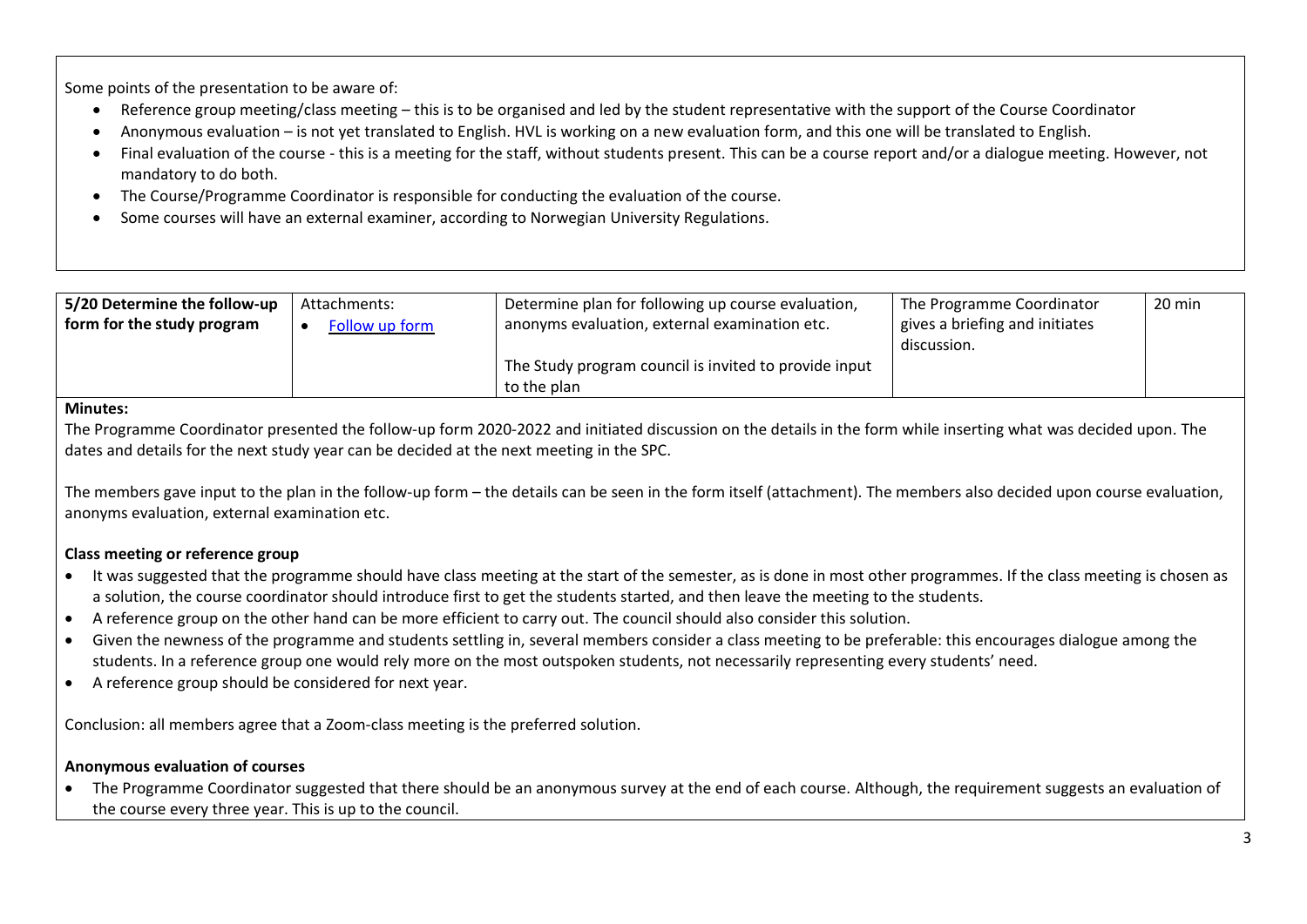Some points of the presentation to be aware of:

- Reference group meeting/class meeting this is to be organised and led by the student representative with the support of the Course Coordinator
- Anonymous evaluation is not yet translated to English. HVL is working on a new evaluation form, and this one will be translated to English.
- Final evaluation of the course this is a meeting for the staff, without students present. This can be a course report and/or a dialogue meeting. However, not mandatory to do both.
- The Course/Programme Coordinator is responsible for conducting the evaluation of the course.
- Some courses will have an external examiner, according to Norwegian University Regulations.

| 5/20 Determine the follow-up<br>form for the study program | Attachments:<br><b>Follow up form</b> | Determine plan for following up course evaluation,<br>anonyms evaluation, external examination etc. | The Programme Coordinator<br>gives a briefing and initiates<br>discussion. | 20 min |
|------------------------------------------------------------|---------------------------------------|-----------------------------------------------------------------------------------------------------|----------------------------------------------------------------------------|--------|
|                                                            |                                       | The Study program council is invited to provide input<br>to the plan                                |                                                                            |        |

#### **Minutes:**

The Programme Coordinator presented the follow-up form 2020-2022 and initiated discussion on the details in the form while inserting what was decided upon. The dates and details for the next study year can be decided at the next meeting in the SPC.

The members gave input to the plan in the follow-up form – the details can be seen in the form itself (attachment). The members also decided upon course evaluation, anonyms evaluation, external examination etc.

### **Class meeting or reference group**

- It was suggested that the programme should have class meeting at the start of the semester, as is done in most other programmes. If the class meeting is chosen as a solution, the course coordinator should introduce first to get the students started, and then leave the meeting to the students.
- A reference group on the other hand can be more efficient to carry out. The council should also consider this solution.
- Given the newness of the programme and students settling in, several members consider a class meeting to be preferable: this encourages dialogue among the students. In a reference group one would rely more on the most outspoken students, not necessarily representing every students' need.
- A reference group should be considered for next year.

Conclusion: all members agree that a Zoom-class meeting is the preferred solution.

#### **Anonymous evaluation of courses**

• The Programme Coordinator suggested that there should be an anonymous survey at the end of each course. Although, the requirement suggests an evaluation of the course every three year. This is up to the council.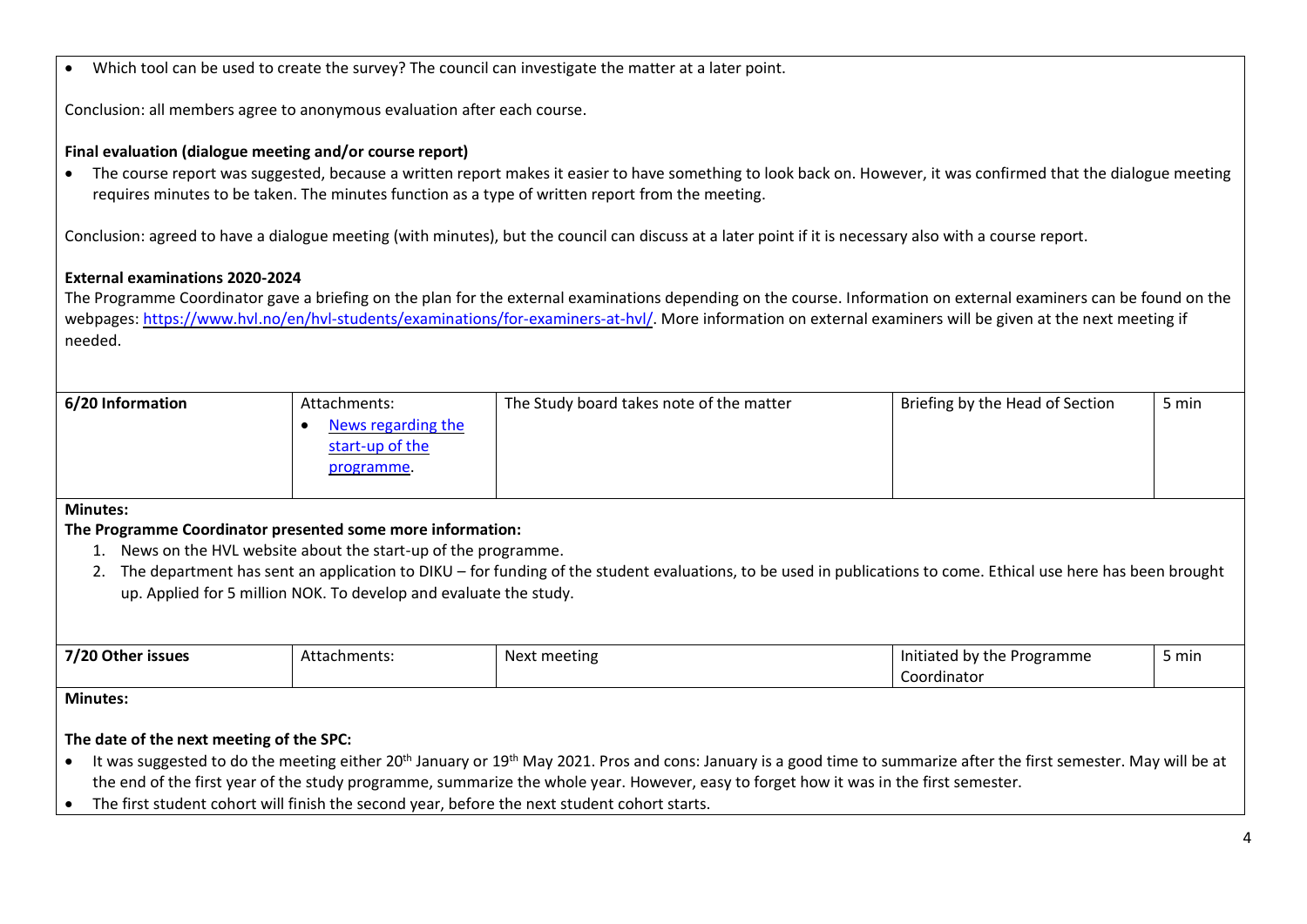| Which tool can be used to create the survey? The council can investigate the matter at a later point.<br>$\bullet$                                                                                                                                                                                                                                                                                                                                                                                                                                                                                                                                                                                                                                                                                                                                                                      |                                                                                  |                                                                                                                                                                                                                                                                                                                                       |                                           |       |  |
|-----------------------------------------------------------------------------------------------------------------------------------------------------------------------------------------------------------------------------------------------------------------------------------------------------------------------------------------------------------------------------------------------------------------------------------------------------------------------------------------------------------------------------------------------------------------------------------------------------------------------------------------------------------------------------------------------------------------------------------------------------------------------------------------------------------------------------------------------------------------------------------------|----------------------------------------------------------------------------------|---------------------------------------------------------------------------------------------------------------------------------------------------------------------------------------------------------------------------------------------------------------------------------------------------------------------------------------|-------------------------------------------|-------|--|
| Conclusion: all members agree to anonymous evaluation after each course.                                                                                                                                                                                                                                                                                                                                                                                                                                                                                                                                                                                                                                                                                                                                                                                                                |                                                                                  |                                                                                                                                                                                                                                                                                                                                       |                                           |       |  |
| Final evaluation (dialogue meeting and/or course report)<br>The course report was suggested, because a written report makes it easier to have something to look back on. However, it was confirmed that the dialogue meeting<br>requires minutes to be taken. The minutes function as a type of written report from the meeting.<br>Conclusion: agreed to have a dialogue meeting (with minutes), but the council can discuss at a later point if it is necessary also with a course report.<br><b>External examinations 2020-2024</b><br>The Programme Coordinator gave a briefing on the plan for the external examinations depending on the course. Information on external examiners can be found on the<br>webpages: https://www.hvl.no/en/hvl-students/examinations/for-examiners-at-hvl/. More information on external examiners will be given at the next meeting if<br>needed. |                                                                                  |                                                                                                                                                                                                                                                                                                                                       |                                           |       |  |
| 6/20 Information                                                                                                                                                                                                                                                                                                                                                                                                                                                                                                                                                                                                                                                                                                                                                                                                                                                                        | Attachments:<br>News regarding the<br>$\bullet$<br>start-up of the<br>programme. | The Study board takes note of the matter                                                                                                                                                                                                                                                                                              | Briefing by the Head of Section           | 5 min |  |
| <b>Minutes:</b><br>The Programme Coordinator presented some more information:<br>1. News on the HVL website about the start-up of the programme.<br>2. The department has sent an application to DIKU - for funding of the student evaluations, to be used in publications to come. Ethical use here has been brought<br>up. Applied for 5 million NOK. To develop and evaluate the study.                                                                                                                                                                                                                                                                                                                                                                                                                                                                                              |                                                                                  |                                                                                                                                                                                                                                                                                                                                       |                                           |       |  |
| 7/20 Other issues                                                                                                                                                                                                                                                                                                                                                                                                                                                                                                                                                                                                                                                                                                                                                                                                                                                                       | Attachments:                                                                     | Next meeting                                                                                                                                                                                                                                                                                                                          | Initiated by the Programme<br>Coordinator | 5 min |  |
| <b>Minutes:</b><br>The date of the next meeting of the SPC:<br>The first student cohort will finish the second year, before the next student cohort starts.<br>$\bullet$                                                                                                                                                                                                                                                                                                                                                                                                                                                                                                                                                                                                                                                                                                                |                                                                                  | It was suggested to do the meeting either 20 <sup>th</sup> January or 19 <sup>th</sup> May 2021. Pros and cons: January is a good time to summarize after the first semester. May will be at<br>the end of the first year of the study programme, summarize the whole year. However, easy to forget how it was in the first semester. |                                           |       |  |